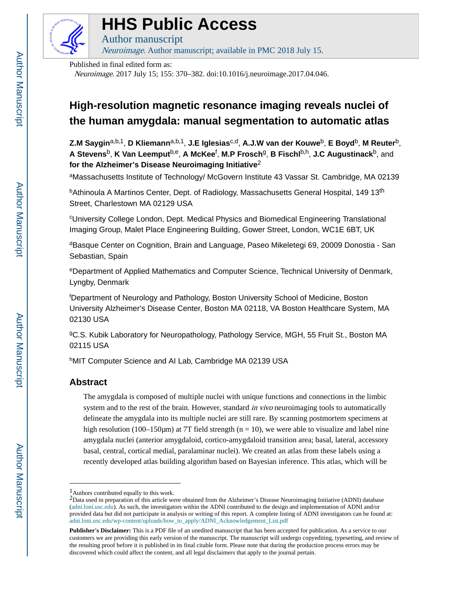

# **HHS Public Access**

Author manuscript Neuroimage. Author manuscript; available in PMC 2018 July 15.

Published in final edited form as:

Neuroimage. 2017 July 15; 155: 370–382. doi:10.1016/j.neuroimage.2017.04.046.

# **High-resolution magnetic resonance imaging reveals nuclei of the human amygdala: manual segmentation to automatic atlas**

**Z.M Saygin**a,b,1, **D Kliemann**a,b,1, **J.E Iglesias**c,d, **A.J.W van der Kouwe**b, **E Boyd**b, **M Reuter**b, **A Stevens**b, **K Van Leemput**b,e, **A McKee**<sup>f</sup> , **M.P Frosch**g, **B Fischl**b,h, **J.C Augustinack**b, and **for the Alzheimer's Disease Neuroimaging Initiative**<sup>2</sup>

<sup>a</sup>Massachusetts Institute of Technology/ McGovern Institute 43 Vassar St. Cambridge, MA 02139

<sup>b</sup>Athinoula A Martinos Center, Dept. of Radiology, Massachusetts General Hospital, 149 13<sup>th</sup> Street, Charlestown MA 02129 USA

<sup>c</sup>University College London, Dept. Medical Physics and Biomedical Engineering Translational Imaging Group, Malet Place Engineering Building, Gower Street, London, WC1E 6BT, UK

<sup>d</sup>Basque Center on Cognition, Brain and Language, Paseo Mikeletegi 69, 20009 Donostia - San Sebastian, Spain

<sup>e</sup>Department of Applied Mathematics and Computer Science, Technical University of Denmark, Lyngby, Denmark

<sup>f</sup>Department of Neurology and Pathology, Boston University School of Medicine, Boston University Alzheimer's Disease Center, Boston MA 02118, VA Boston Healthcare System, MA 02130 USA

<sup>g</sup>C.S. Kubik Laboratory for Neuropathology, Pathology Service, MGH, 55 Fruit St., Boston MA 02115 USA

hMIT Computer Science and AI Lab, Cambridge MA 02139 USA

# **Abstract**

The amygdala is composed of multiple nuclei with unique functions and connections in the limbic system and to the rest of the brain. However, standard in vivo neuroimaging tools to automatically delineate the amygdala into its multiple nuclei are still rare. By scanning postmortem specimens at high resolution (100–150 $\mu$ m) at 7T field strength (n = 10), we were able to visualize and label nine amygdala nuclei (anterior amygdaloid, cortico-amygdaloid transition area; basal, lateral, accessory basal, central, cortical medial, paralaminar nuclei). We created an atlas from these labels using a recently developed atlas building algorithm based on Bayesian inference. This atlas, which will be

<sup>1</sup>Authors contributed equally to this work.

<sup>2</sup>Data used in preparation of this article were obtained from the Alzheimer's Disease Neuroimaging Initiative (ADNI) database ([adni.loni.usc.edu](http://adni.loni.usc.edu)). As such, the investigators within the ADNI contributed to the design and implementation of ADNI and/or provided data but did not participate in analysis or writing of this report. A complete listing of ADNI investigators can be found at: [adni.loni.usc.edu/wp-content/uploads/how\\_to\\_apply/ADNI\\_Acknowledgement\\_List.pdf](http://adni.loni.usc.edu/wp-content/uploads/how_to_apply/ADNI_Acknowledgement_List.pdf)

**Publisher's Disclaimer:** This is a PDF file of an unedited manuscript that has been accepted for publication. As a service to our customers we are providing this early version of the manuscript. The manuscript will undergo copyediting, typesetting, and review of the resulting proof before it is published in its final citable form. Please note that during the production process errors may be discovered which could affect the content, and all legal disclaimers that apply to the journal pertain.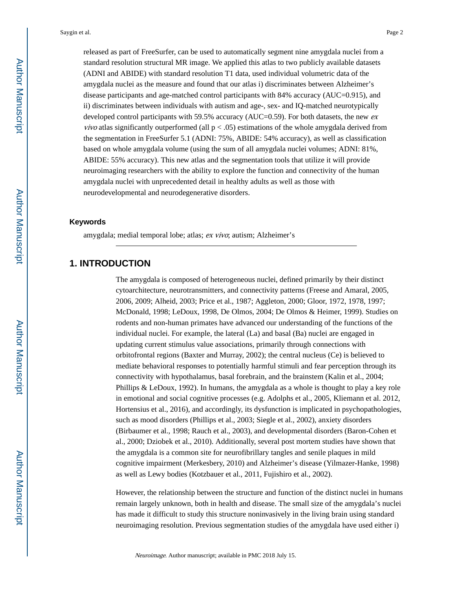released as part of FreeSurfer, can be used to automatically segment nine amygdala nuclei from a standard resolution structural MR image. We applied this atlas to two publicly available datasets (ADNI and ABIDE) with standard resolution T1 data, used individual volumetric data of the amygdala nuclei as the measure and found that our atlas i) discriminates between Alzheimer's disease participants and age-matched control participants with 84% accuracy (AUC=0.915), and ii) discriminates between individuals with autism and age-, sex- and IQ-matched neurotypically developed control participants with 59.5% accuracy (AUC=0.59). For both datasets, the new  $ex$ *vivo* atlas significantly outperformed (all  $p < .05$ ) estimations of the whole amygdala derived from the segmentation in FreeSurfer 5.1 (ADNI: 75%, ABIDE: 54% accuracy), as well as classification based on whole amygdala volume (using the sum of all amygdala nuclei volumes; ADNI: 81%, ABIDE: 55% accuracy). This new atlas and the segmentation tools that utilize it will provide neuroimaging researchers with the ability to explore the function and connectivity of the human amygdala nuclei with unprecedented detail in healthy adults as well as those with neurodevelopmental and neurodegenerative disorders.

#### **Keywords**

amygdala; medial temporal lobe; atlas; ex vivo; autism; Alzheimer's

# **1. INTRODUCTION**

The amygdala is composed of heterogeneous nuclei, defined primarily by their distinct cytoarchitecture, neurotransmitters, and connectivity patterns (Freese and Amaral, 2005, 2006, 2009; Alheid, 2003; Price et al., 1987; Aggleton, 2000; Gloor, 1972, 1978, 1997; McDonald, 1998; LeDoux, 1998, De Olmos, 2004; De Olmos & Heimer, 1999). Studies on rodents and non-human primates have advanced our understanding of the functions of the individual nuclei. For example, the lateral (La) and basal (Ba) nuclei are engaged in updating current stimulus value associations, primarily through connections with orbitofrontal regions (Baxter and Murray, 2002); the central nucleus (Ce) is believed to mediate behavioral responses to potentially harmful stimuli and fear perception through its connectivity with hypothalamus, basal forebrain, and the brainstem (Kalin et al., 2004; Phillips & LeDoux, 1992). In humans, the amygdala as a whole is thought to play a key role in emotional and social cognitive processes (e.g. Adolphs et al., 2005, Kliemann et al. 2012, Hortensius et al., 2016), and accordingly, its dysfunction is implicated in psychopathologies, such as mood disorders (Phillips et al., 2003; Siegle et al., 2002), anxiety disorders (Birbaumer et al., 1998; Rauch et al., 2003), and developmental disorders (Baron-Cohen et al., 2000; Dziobek et al., 2010). Additionally, several post mortem studies have shown that the amygdala is a common site for neurofibrillary tangles and senile plaques in mild cognitive impairment (Merkesbery, 2010) and Alzheimer's disease (Yilmazer-Hanke, 1998) as well as Lewy bodies (Kotzbauer et al., 2011, Fujishiro et al., 2002).

However, the relationship between the structure and function of the distinct nuclei in humans remain largely unknown, both in health and disease. The small size of the amygdala's nuclei has made it difficult to study this structure noninvasively in the living brain using standard neuroimaging resolution. Previous segmentation studies of the amygdala have used either i)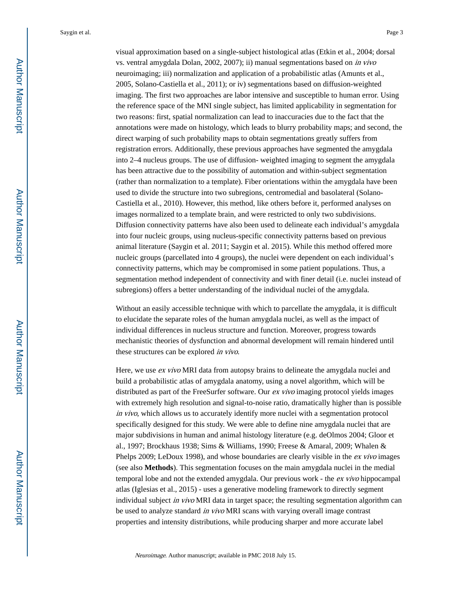visual approximation based on a single-subject histological atlas (Etkin et al., 2004; dorsal vs. ventral amygdala Dolan, 2002, 2007); ii) manual segmentations based on in vivo neuroimaging; iii) normalization and application of a probabilistic atlas (Amunts et al., 2005, Solano-Castiella et al., 2011); or iv) segmentations based on diffusion-weighted imaging. The first two approaches are labor intensive and susceptible to human error. Using the reference space of the MNI single subject, has limited applicability in segmentation for two reasons: first, spatial normalization can lead to inaccuracies due to the fact that the annotations were made on histology, which leads to blurry probability maps; and second, the direct warping of such probability maps to obtain segmentations greatly suffers from registration errors. Additionally, these previous approaches have segmented the amygdala into 2–4 nucleus groups. The use of diffusion- weighted imaging to segment the amygdala has been attractive due to the possibility of automation and within-subject segmentation (rather than normalization to a template). Fiber orientations within the amygdala have been used to divide the structure into two subregions, centromedial and basolateral (Solano-Castiella et al., 2010). However, this method, like others before it, performed analyses on images normalized to a template brain, and were restricted to only two subdivisions. Diffusion connectivity patterns have also been used to delineate each individual's amygdala into four nucleic groups, using nucleus-specific connectivity patterns based on previous animal literature (Saygin et al. 2011; Saygin et al. 2015). While this method offered more nucleic groups (parcellated into 4 groups), the nuclei were dependent on each individual's connectivity patterns, which may be compromised in some patient populations. Thus, a segmentation method independent of connectivity and with finer detail (i.e. nuclei instead of subregions) offers a better understanding of the individual nuclei of the amygdala.

Without an easily accessible technique with which to parcellate the amygdala, it is difficult to elucidate the separate roles of the human amygdala nuclei, as well as the impact of individual differences in nucleus structure and function. Moreover, progress towards mechanistic theories of dysfunction and abnormal development will remain hindered until these structures can be explored in vivo.

Here, we use *ex vivo* MRI data from autopsy brains to delineate the amygdala nuclei and build a probabilistic atlas of amygdala anatomy, using a novel algorithm, which will be distributed as part of the FreeSurfer software. Our ex vivo imaging protocol yields images with extremely high resolution and signal-to-noise ratio, dramatically higher than is possible in vivo, which allows us to accurately identify more nuclei with a segmentation protocol specifically designed for this study. We were able to define nine amygdala nuclei that are major subdivisions in human and animal histology literature (e.g. deOlmos 2004; Gloor et al., 1997; Brockhaus 1938; Sims & Williams, 1990; Freese & Amaral, 2009; Whalen & Phelps 2009; LeDoux 1998), and whose boundaries are clearly visible in the *ex vivo* images (see also **Methods**). This segmentation focuses on the main amygdala nuclei in the medial temporal lobe and not the extended amygdala. Our previous work - the ex vivo hippocampal atlas (Iglesias et al., 2015) - uses a generative modeling framework to directly segment individual subject in vivo MRI data in target space; the resulting segmentation algorithm can be used to analyze standard *in vivo* MRI scans with varying overall image contrast properties and intensity distributions, while producing sharper and more accurate label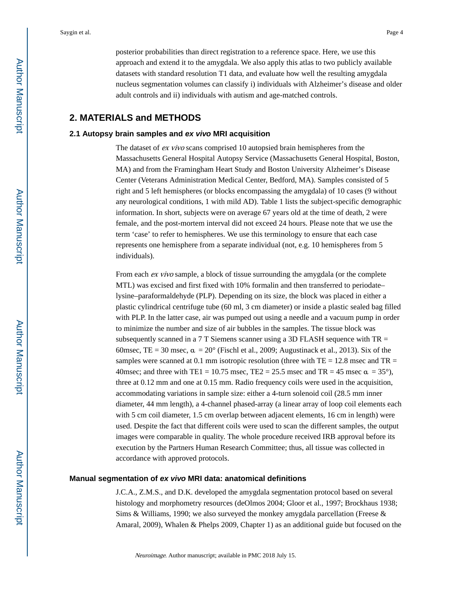posterior probabilities than direct registration to a reference space. Here, we use this approach and extend it to the amygdala. We also apply this atlas to two publicly available datasets with standard resolution T1 data, and evaluate how well the resulting amygdala nucleus segmentation volumes can classify i) individuals with Alzheimer's disease and older adult controls and ii) individuals with autism and age-matched controls.

# **2. MATERIALS and METHODS**

#### **2.1 Autopsy brain samples and ex vivo MRI acquisition**

The dataset of ex vivo scans comprised 10 autopsied brain hemispheres from the Massachusetts General Hospital Autopsy Service (Massachusetts General Hospital, Boston, MA) and from the Framingham Heart Study and Boston University Alzheimer's Disease Center (Veterans Administration Medical Center, Bedford, MA). Samples consisted of 5 right and 5 left hemispheres (or blocks encompassing the amygdala) of 10 cases (9 without any neurological conditions, 1 with mild AD). Table 1 lists the subject-specific demographic information. In short, subjects were on average 67 years old at the time of death, 2 were female, and the post-mortem interval did not exceed 24 hours. Please note that we use the term 'case' to refer to hemispheres. We use this terminology to ensure that each case represents one hemisphere from a separate individual (not, e.g. 10 hemispheres from 5 individuals).

From each *ex vivo* sample, a block of tissue surrounding the amygdala (or the complete MTL) was excised and first fixed with 10% formalin and then transferred to periodate– lysine–paraformaldehyde (PLP). Depending on its size, the block was placed in either a plastic cylindrical centrifuge tube (60 ml, 3 cm diameter) or inside a plastic sealed bag filled with PLP. In the latter case, air was pumped out using a needle and a vacuum pump in order to minimize the number and size of air bubbles in the samples. The tissue block was subsequently scanned in a 7 T Siemens scanner using a 3D FLASH sequence with TR = 60msec, TE = 30 msec,  $\alpha$  = 20° (Fischl et al., 2009; Augustinack et al., 2013). Six of the samples were scanned at 0.1 mm isotropic resolution (three with  $TE = 12.8$  msec and  $TR =$ 40msec; and three with TE1 = 10.75 msec, TE2 = 25.5 msec and TR = 45 msec  $\alpha$  = 35°), three at 0.12 mm and one at 0.15 mm. Radio frequency coils were used in the acquisition, accommodating variations in sample size: either a 4-turn solenoid coil (28.5 mm inner diameter, 44 mm length), a 4-channel phased-array (a linear array of loop coil elements each with 5 cm coil diameter, 1.5 cm overlap between adjacent elements, 16 cm in length) were used. Despite the fact that different coils were used to scan the different samples, the output images were comparable in quality. The whole procedure received IRB approval before its execution by the Partners Human Research Committee; thus, all tissue was collected in accordance with approved protocols.

#### **Manual segmentation of ex vivo MRI data: anatomical definitions**

J.C.A., Z.M.S., and D.K. developed the amygdala segmentation protocol based on several histology and morphometry resources (deOlmos 2004; Gloor et al., 1997; Brockhaus 1938; Sims & Williams, 1990; we also surveyed the monkey amygdala parcellation (Freese  $\&$ Amaral, 2009), Whalen & Phelps 2009, Chapter 1) as an additional guide but focused on the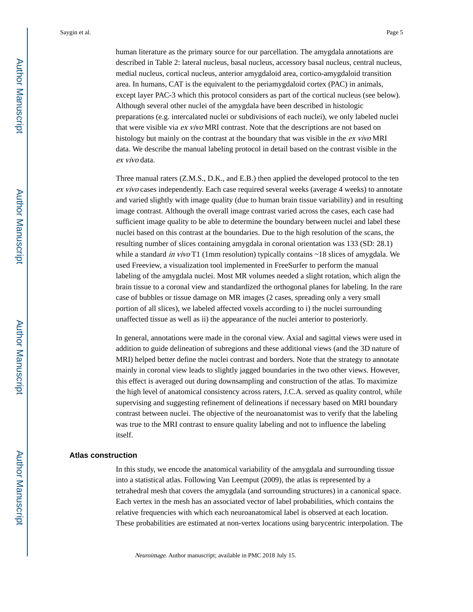human literature as the primary source for our parcellation. The amygdala annotations are described in Table 2: lateral nucleus, basal nucleus, accessory basal nucleus, central nucleus, medial nucleus, cortical nucleus, anterior amygdaloid area, cortico-amygdaloid transition area. In humans, CAT is the equivalent to the periamygdaloid cortex (PAC) in animals, except layer PAC-3 which this protocol considers as part of the cortical nucleus (see below). Although several other nuclei of the amygdala have been described in histologic preparations (e.g. intercalated nuclei or subdivisions of each nuclei), we only labeled nuclei that were visible via ex vivo MRI contrast. Note that the descriptions are not based on histology but mainly on the contrast at the boundary that was visible in the ex vivo MRI data. We describe the manual labeling protocol in detail based on the contrast visible in the ex vivo data.

Three manual raters (Z.M.S., D.K., and E.B.) then applied the developed protocol to the ten ex vivo cases independently. Each case required several weeks (average 4 weeks) to annotate and varied slightly with image quality (due to human brain tissue variability) and in resulting image contrast. Although the overall image contrast varied across the cases, each case had sufficient image quality to be able to determine the boundary between nuclei and label these nuclei based on this contrast at the boundaries. Due to the high resolution of the scans, the resulting number of slices containing amygdala in coronal orientation was 133 (SD: 28.1) while a standard in vivo T1 (1mm resolution) typically contains  $\sim$  18 slices of amygdala. We used Freeview, a visualization tool implemented in FreeSurfer to perform the manual labeling of the amygdala nuclei. Most MR volumes needed a slight rotation, which align the brain tissue to a coronal view and standardized the orthogonal planes for labeling. In the rare case of bubbles or tissue damage on MR images (2 cases, spreading only a very small portion of all slices), we labeled affected voxels according to i) the nuclei surrounding unaffected tissue as well as ii) the appearance of the nuclei anterior to posteriorly.

In general, annotations were made in the coronal view. Axial and sagittal views were used in addition to guide delineation of subregions and these additional views (and the 3D nature of MRI) helped better define the nuclei contrast and borders. Note that the strategy to annotate mainly in coronal view leads to slightly jagged boundaries in the two other views. However, this effect is averaged out during downsampling and construction of the atlas. To maximize the high level of anatomical consistency across raters, J.C.A. served as quality control, while supervising and suggesting refinement of delineations if necessary based on MRI boundary contrast between nuclei. The objective of the neuroanatomist was to verify that the labeling was true to the MRI contrast to ensure quality labeling and not to influence the labeling itself.

#### **Atlas construction**

In this study, we encode the anatomical variability of the amygdala and surrounding tissue into a statistical atlas. Following Van Leemput (2009), the atlas is represented by a tetrahedral mesh that covers the amygdala (and surrounding structures) in a canonical space. Each vertex in the mesh has an associated vector of label probabilities, which contains the relative frequencies with which each neuroanatomical label is observed at each location. These probabilities are estimated at non-vertex locations using barycentric interpolation. The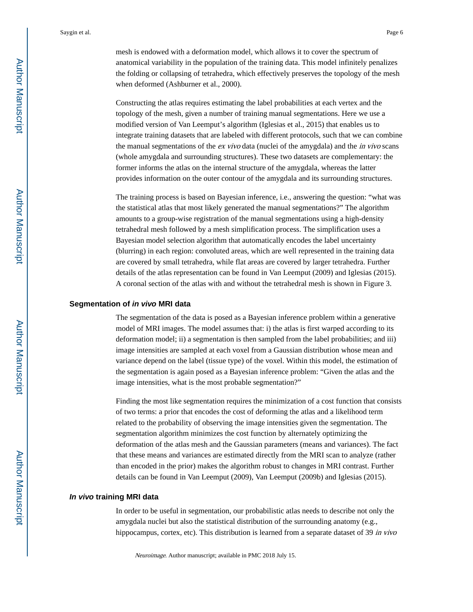mesh is endowed with a deformation model, which allows it to cover the spectrum of anatomical variability in the population of the training data. This model infinitely penalizes the folding or collapsing of tetrahedra, which effectively preserves the topology of the mesh when deformed (Ashburner et al., 2000).

Constructing the atlas requires estimating the label probabilities at each vertex and the topology of the mesh, given a number of training manual segmentations. Here we use a modified version of Van Leemput's algorithm (Iglesias et al., 2015) that enables us to integrate training datasets that are labeled with different protocols, such that we can combine the manual segmentations of the *ex vivo* data (nuclei of the amygdala) and the *in vivo* scans (whole amygdala and surrounding structures). These two datasets are complementary: the former informs the atlas on the internal structure of the amygdala, whereas the latter provides information on the outer contour of the amygdala and its surrounding structures.

The training process is based on Bayesian inference, i.e., answering the question: "what was the statistical atlas that most likely generated the manual segmentations?" The algorithm amounts to a group-wise registration of the manual segmentations using a high-density tetrahedral mesh followed by a mesh simplification process. The simplification uses a Bayesian model selection algorithm that automatically encodes the label uncertainty (blurring) in each region: convoluted areas, which are well represented in the training data are covered by small tetrahedra, while flat areas are covered by larger tetrahedra. Further details of the atlas representation can be found in Van Leemput (2009) and Iglesias (2015). A coronal section of the atlas with and without the tetrahedral mesh is shown in Figure 3.

#### **Segmentation of in vivo MRI data**

The segmentation of the data is posed as a Bayesian inference problem within a generative model of MRI images. The model assumes that: i) the atlas is first warped according to its deformation model; ii) a segmentation is then sampled from the label probabilities; and iii) image intensities are sampled at each voxel from a Gaussian distribution whose mean and variance depend on the label (tissue type) of the voxel. Within this model, the estimation of the segmentation is again posed as a Bayesian inference problem: "Given the atlas and the image intensities, what is the most probable segmentation?"

Finding the most like segmentation requires the minimization of a cost function that consists of two terms: a prior that encodes the cost of deforming the atlas and a likelihood term related to the probability of observing the image intensities given the segmentation. The segmentation algorithm minimizes the cost function by alternately optimizing the deformation of the atlas mesh and the Gaussian parameters (means and variances). The fact that these means and variances are estimated directly from the MRI scan to analyze (rather than encoded in the prior) makes the algorithm robust to changes in MRI contrast. Further details can be found in Van Leemput (2009), Van Leemput (2009b) and Iglesias (2015).

#### **In vivo training MRI data**

In order to be useful in segmentation, our probabilistic atlas needs to describe not only the amygdala nuclei but also the statistical distribution of the surrounding anatomy (e.g., hippocampus, cortex, etc). This distribution is learned from a separate dataset of 39 in vivo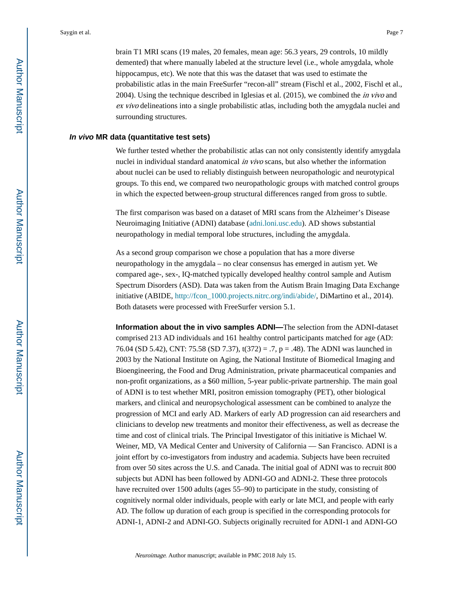brain T1 MRI scans (19 males, 20 females, mean age: 56.3 years, 29 controls, 10 mildly demented) that where manually labeled at the structure level (i.e., whole amygdala, whole hippocampus, etc). We note that this was the dataset that was used to estimate the probabilistic atlas in the main FreeSurfer "recon-all" stream (Fischl et al., 2002, Fischl et al., 2004). Using the technique described in Iglesias et al. (2015), we combined the *in vivo* and ex vivo delineations into a single probabilistic atlas, including both the amygdala nuclei and surrounding structures.

#### **In vivo MR data (quantitative test sets)**

We further tested whether the probabilistic atlas can not only consistently identify amygdala nuclei in individual standard anatomical in vivo scans, but also whether the information about nuclei can be used to reliably distinguish between neuropathologic and neurotypical groups. To this end, we compared two neuropathologic groups with matched control groups in which the expected between-group structural differences ranged from gross to subtle.

The first comparison was based on a dataset of MRI scans from the Alzheimer's Disease Neuroimaging Initiative (ADNI) database ([adni.loni.usc.edu\)](http://adni.loni.usc.edu). AD shows substantial neuropathology in medial temporal lobe structures, including the amygdala.

As a second group comparison we chose a population that has a more diverse neuropathology in the amygdala – no clear consensus has emerged in autism yet. We compared age-, sex-, IQ-matched typically developed healthy control sample and Autism Spectrum Disorders (ASD). Data was taken from the Autism Brain Imaging Data Exchange initiative (ABIDE, [http://fcon\\_1000.projects.nitrc.org/indi/abide/](http://fcon_1000.projects.nitrc.org/indi/abide/), DiMartino et al., 2014). Both datasets were processed with FreeSurfer version 5.1.

**Information about the in vivo samples ADNI—**The selection from the ADNI-dataset comprised 213 AD individuals and 161 healthy control participants matched for age (AD: 76.04 (SD 5.42), CNT: 75.58 (SD 7.37), t(372) = .7, p = .48). The ADNI was launched in 2003 by the National Institute on Aging, the National Institute of Biomedical Imaging and Bioengineering, the Food and Drug Administration, private pharmaceutical companies and non-profit organizations, as a \$60 million, 5-year public-private partnership. The main goal of ADNI is to test whether MRI, positron emission tomography (PET), other biological markers, and clinical and neuropsychological assessment can be combined to analyze the progression of MCI and early AD. Markers of early AD progression can aid researchers and clinicians to develop new treatments and monitor their effectiveness, as well as decrease the time and cost of clinical trials. The Principal Investigator of this initiative is Michael W. Weiner, MD, VA Medical Center and University of California — San Francisco. ADNI is a joint effort by co-investigators from industry and academia. Subjects have been recruited from over 50 sites across the U.S. and Canada. The initial goal of ADNI was to recruit 800 subjects but ADNI has been followed by ADNI-GO and ADNI-2. These three protocols have recruited over 1500 adults (ages 55–90) to participate in the study, consisting of cognitively normal older individuals, people with early or late MCI, and people with early AD. The follow up duration of each group is specified in the corresponding protocols for ADNI-1, ADNI-2 and ADNI-GO. Subjects originally recruited for ADNI-1 and ADNI-GO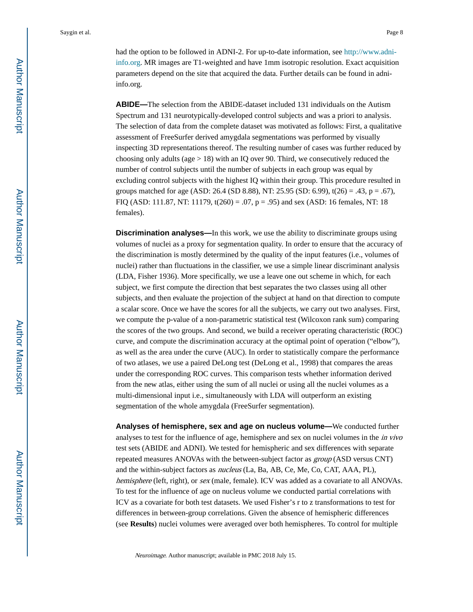had the option to be followed in ADNI-2. For up-to-date information, see [http://www.adni](http://www.adni-info.org)[info.org.](http://www.adni-info.org) MR images are T1-weighted and have 1mm isotropic resolution. Exact acquisition parameters depend on the site that acquired the data. Further details can be found in adniinfo.org.

**ABIDE—**The selection from the ABIDE-dataset included 131 individuals on the Autism Spectrum and 131 neurotypically-developed control subjects and was a priori to analysis. The selection of data from the complete dataset was motivated as follows: First, a qualitative assessment of FreeSurfer derived amygdala segmentations was performed by visually inspecting 3D representations thereof. The resulting number of cases was further reduced by choosing only adults (age  $> 18$ ) with an IQ over 90. Third, we consecutively reduced the number of control subjects until the number of subjects in each group was equal by excluding control subjects with the highest IQ within their group. This procedure resulted in groups matched for age (ASD: 26.4 (SD 8.88), NT: 25.95 (SD: 6.99),  $t(26) = .43$ ,  $p = .67$ ), FIQ (ASD: 111.87, NT: 11179, t(260) = .07,  $p = .95$ ) and sex (ASD: 16 females, NT: 18 females).

**Discrimination analyses—**In this work, we use the ability to discriminate groups using volumes of nuclei as a proxy for segmentation quality. In order to ensure that the accuracy of the discrimination is mostly determined by the quality of the input features (i.e., volumes of nuclei) rather than fluctuations in the classifier, we use a simple linear discriminant analysis (LDA, Fisher 1936). More specifically, we use a leave one out scheme in which, for each subject, we first compute the direction that best separates the two classes using all other subjects, and then evaluate the projection of the subject at hand on that direction to compute a scalar score. Once we have the scores for all the subjects, we carry out two analyses. First, we compute the p-value of a non-parametric statistical test (Wilcoxon rank sum) comparing the scores of the two groups. And second, we build a receiver operating characteristic (ROC) curve, and compute the discrimination accuracy at the optimal point of operation ("elbow"), as well as the area under the curve (AUC). In order to statistically compare the performance of two atlases, we use a paired DeLong test (DeLong et al., 1998) that compares the areas under the corresponding ROC curves. This comparison tests whether information derived from the new atlas, either using the sum of all nuclei or using all the nuclei volumes as a multi-dimensional input i.e., simultaneously with LDA will outperform an existing segmentation of the whole amygdala (FreeSurfer segmentation).

**Analyses of hemisphere, sex and age on nucleus volume—**We conducted further analyses to test for the influence of age, hemisphere and sex on nuclei volumes in the in vivo test sets (ABIDE and ADNI). We tested for hemispheric and sex differences with separate repeated measures ANOVAs with the between-subject factor as group (ASD versus CNT) and the within-subject factors as nucleus (La, Ba, AB, Ce, Me, Co, CAT, AAA, PL), hemisphere (left, right), or sex (male, female). ICV was added as a covariate to all ANOVAs. To test for the influence of age on nucleus volume we conducted partial correlations with ICV as a covariate for both test datasets. We used Fisher's r to z transformations to test for differences in between-group correlations. Given the absence of hemispheric differences (see **Results**) nuclei volumes were averaged over both hemispheres. To control for multiple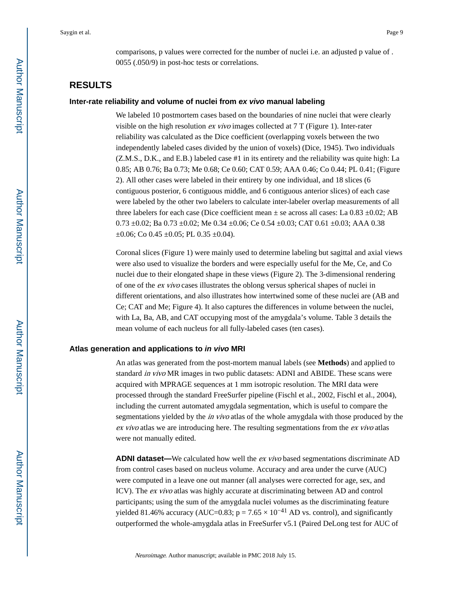comparisons, p values were corrected for the number of nuclei i.e. an adjusted p value of . 0055 (.050/9) in post-hoc tests or correlations.

# **RESULTS**

#### **Inter-rate reliability and volume of nuclei from ex vivo manual labeling**

We labeled 10 postmortem cases based on the boundaries of nine nuclei that were clearly visible on the high resolution *ex vivo* images collected at  $7 \text{ T}$  (Figure 1). Inter-rater reliability was calculated as the Dice coefficient (overlapping voxels between the two independently labeled cases divided by the union of voxels) (Dice, 1945). Two individuals (Z.M.S., D.K., and E.B.) labeled case #1 in its entirety and the reliability was quite high: La 0.85; AB 0.76; Ba 0.73; Me 0.68; Ce 0.60; CAT 0.59; AAA 0.46; Co 0.44; PL 0.41; (Figure 2). All other cases were labeled in their entirety by one individual, and 18 slices (6 contiguous posterior, 6 contiguous middle, and 6 contiguous anterior slices) of each case were labeled by the other two labelers to calculate inter-labeler overlap measurements of all three labelers for each case (Dice coefficient mean  $\pm$  se across all cases: La 0.83  $\pm$ 0.02; AB 0.73 ±0.02; Ba 0.73 ±0.02; Me 0.34 ±0.06; Ce 0.54 ±0.03; CAT 0.61 ±0.03; AAA 0.38  $\pm 0.06$ ; Co 0.45  $\pm 0.05$ ; PL 0.35  $\pm 0.04$ ).

Coronal slices (Figure 1) were mainly used to determine labeling but sagittal and axial views were also used to visualize the borders and were especially useful for the Me, Ce, and Co nuclei due to their elongated shape in these views (Figure 2). The 3-dimensional rendering of one of the ex vivo cases illustrates the oblong versus spherical shapes of nuclei in different orientations, and also illustrates how intertwined some of these nuclei are (AB and Ce; CAT and Me; Figure 4). It also captures the differences in volume between the nuclei, with La, Ba, AB, and CAT occupying most of the amygdala's volume. Table 3 details the mean volume of each nucleus for all fully-labeled cases (ten cases).

#### **Atlas generation and applications to in vivo MRI**

An atlas was generated from the post-mortem manual labels (see **Methods**) and applied to standard in vivo MR images in two public datasets: ADNI and ABIDE. These scans were acquired with MPRAGE sequences at 1 mm isotropic resolution. The MRI data were processed through the standard FreeSurfer pipeline (Fischl et al., 2002, Fischl et al., 2004), including the current automated amygdala segmentation, which is useful to compare the segmentations yielded by the *in vivo* atlas of the whole amygdala with those produced by the ex vivo atlas we are introducing here. The resulting segmentations from the ex vivo atlas were not manually edited.

**ADNI dataset—**We calculated how well the *ex vivo* based segmentations discriminate AD from control cases based on nucleus volume. Accuracy and area under the curve (AUC) were computed in a leave one out manner (all analyses were corrected for age, sex, and ICV). The ex vivo atlas was highly accurate at discriminating between AD and control participants; using the sum of the amygdala nuclei volumes as the discriminating feature yielded 81.46% accuracy (AUC=0.83;  $p = 7.65 \times 10^{-41}$  AD vs. control), and significantly outperformed the whole-amygdala atlas in FreeSurfer v5.1 (Paired DeLong test for AUC of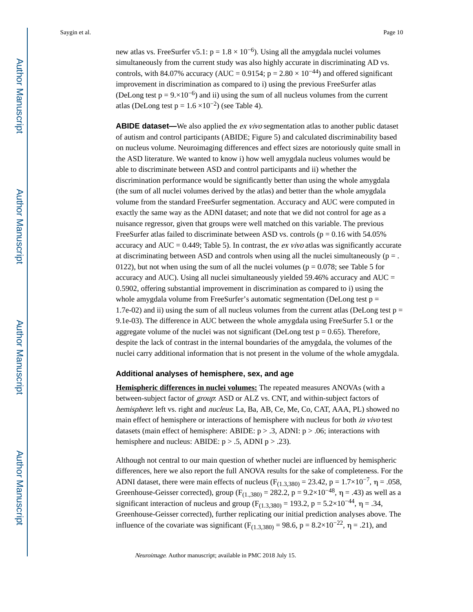new atlas vs. FreeSurfer v5.1:  $p = 1.8 \times 10^{-6}$ ). Using all the amygdala nuclei volumes simultaneously from the current study was also highly accurate in discriminating AD vs. controls, with 84.07% accuracy (AUC = 0.9154;  $p = 2.80 \times 10^{-44}$ ) and offered significant improvement in discrimination as compared to i) using the previous FreeSurfer atlas (DeLong test  $p = 9. \times 10^{-6}$ ) and ii) using the sum of all nucleus volumes from the current atlas (DeLong test p =  $1.6 \times 10^{-2}$ ) (see Table 4).

**ABIDE dataset—**We also applied the *ex vivo* segmentation atlas to another public dataset of autism and control participants (ABIDE; Figure 5) and calculated discriminability based on nucleus volume. Neuroimaging differences and effect sizes are notoriously quite small in the ASD literature. We wanted to know i) how well amygdala nucleus volumes would be able to discriminate between ASD and control participants and ii) whether the discrimination performance would be significantly better than using the whole amygdala (the sum of all nuclei volumes derived by the atlas) and better than the whole amygdala volume from the standard FreeSurfer segmentation. Accuracy and AUC were computed in exactly the same way as the ADNI dataset; and note that we did not control for age as a nuisance regressor, given that groups were well matched on this variable. The previous FreeSurfer atlas failed to discriminate between ASD vs. controls ( $p = 0.16$  with 54.05%) accuracy and AUC = 0.449; Table 5). In contrast, the *ex vivo* atlas was significantly accurate at discriminating between ASD and controls when using all the nuclei simultaneously ( $p =$ . 0122), but not when using the sum of all the nuclei volumes ( $p = 0.078$ ; see Table 5 for accuracy and AUC). Using all nuclei simultaneously yielded 59.46% accuracy and AUC = 0.5902, offering substantial improvement in discrimination as compared to i) using the whole amygdala volume from FreeSurfer's automatic segmentation (DeLong test  $p =$ 1.7e-02) and ii) using the sum of all nucleus volumes from the current atlas (DeLong test  $p =$ 9.1e-03). The difference in AUC between the whole amygdala using FreeSurfer 5.1 or the aggregate volume of the nuclei was not significant (DeLong test  $p = 0.65$ ). Therefore, despite the lack of contrast in the internal boundaries of the amygdala, the volumes of the nuclei carry additional information that is not present in the volume of the whole amygdala.

#### **Additional analyses of hemisphere, sex, and age**

**Hemispheric differences in nuclei volumes:** The repeated measures ANOVAs (with a between-subject factor of *group*: ASD or ALZ vs. CNT, and within-subject factors of hemisphere: left vs. right and *nucleus*: La, Ba, AB, Ce, Me, Co, CAT, AAA, PL) showed no main effect of hemisphere or interactions of hemisphere with nucleus for both in vivo test datasets (main effect of hemisphere: ABIDE:  $p > .3$ , ADNI:  $p > .06$ ; interactions with hemisphere and nucleus: ABIDE:  $p > .5$ , ADNI  $p > .23$ ).

Although not central to our main question of whether nuclei are influenced by hemispheric differences, here we also report the full ANOVA results for the sake of completeness. For the ADNI dataset, there were main effects of nucleus ( $F_{(1,3,380)} = 23.42$ ,  $p = 1.7 \times 10^{-7}$ ,  $\eta = .058$ , Greenhouse-Geisser corrected), group ( $F_{(1,380)} = 282.2$ ,  $p = 9.2 \times 10^{-48}$ ,  $\eta = .43$ ) as well as a significant interaction of nucleus and group ( $F_{(1.3,380)} = 193.2$ , p = 5.2×10<sup>-44</sup>,  $\eta = .34$ , Greenhouse-Geisser corrected), further replicating our initial prediction analyses above. The influence of the covariate was significant  $(F_{(1,3,380)} = 98.6, p = 8.2 \times 10^{-22}, \eta = .21)$ , and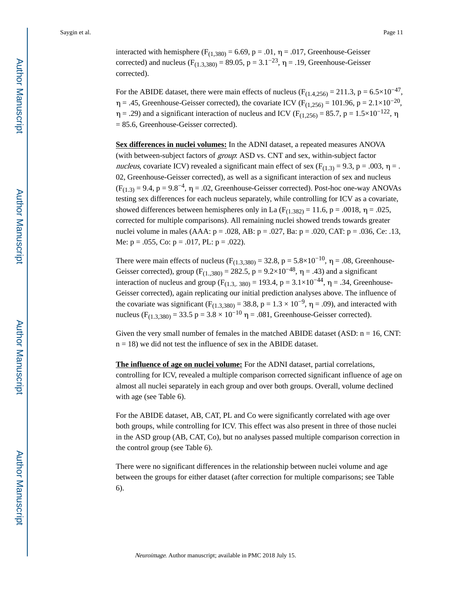interacted with hemisphere ( $F_{(1,380)} = 6.69$ , p = .01,  $\eta = .017$ , Greenhouse-Geisser corrected) and nucleus  $(F_{(1,3,380)} = 89.05, p = 3.1^{-23}, \eta = .19,$  Greenhouse-Geisser corrected).

For the ABIDE dataset, there were main effects of nucleus ( $F_{(1.4,256)} = 211.3$ , p = 6.5×10<sup>-47</sup>,  $\eta = .45$ , Greenhouse-Geisser corrected), the covariate ICV (F<sub>(1,256)</sub> = 101.96, p = 2.1×10<sup>-20</sup>,  $η = .29$ ) and a significant interaction of nucleus and ICV (F<sub>(1,256)</sub> = 85.7, p = 1.5×10<sup>-122</sup>, η = 85.6, Greenhouse-Geisser corrected).

**Sex differences in nuclei volumes:** In the ADNI dataset, a repeated measures ANOVA (with between-subject factors of group: ASD vs. CNT and sex, within-subject factor nucleus, covariate ICV) revealed a significant main effect of sex ( $F_{(1,3)} = 9.3$ ,  $p = .003$ ,  $\eta = .$ 02, Greenhouse-Geisser corrected), as well as a significant interaction of sex and nucleus  $(F<sub>(1.3)</sub> = 9.4, p = 9.8<sup>-4</sup>, \eta = .02$ , Greenhouse-Geisser corrected). Post-hoc one-way ANOVAs testing sex differences for each nucleus separately, while controlling for ICV as a covariate, showed differences between hemispheres only in La ( $F_{(1,382)} = 11.6$ ,  $p = .0018$ ,  $\eta = .025$ , corrected for multiple comparisons). All remaining nuclei showed trends towards greater nuclei volume in males (AAA:  $p = .028$ , AB:  $p = .027$ , Ba:  $p = .020$ , CAT:  $p = .036$ , Ce: .13, Me:  $p = .055$ , Co:  $p = .017$ , PL:  $p = .022$ ).

There were main effects of nucleus ( $F_{(1,3,380)} = 32.8$ ,  $p = 5.8 \times 10^{-10}$ ,  $\eta = .08$ , Greenhouse-Geisser corrected), group ( $F_{(1,380)} = 282.5$ , p = 9.2×10<sup>-48</sup>,  $\eta = .43$ ) and a significant interaction of nucleus and group ( $F_{(1,3,1,380)} = 193.4$ , p = 3.1×10<sup>-44</sup>, η = .34, Greenhouse-Geisser corrected), again replicating our initial prediction analyses above. The influence of the covariate was significant ( $F_{(1,3,380)} = 38.8$ , p =  $1.3 \times 10^{-9}$ , q = .09), and interacted with nucleus (F<sub>(1.3,380)</sub> = 33.5 p = 3.8 × 10<sup>-10</sup>  $\eta$  = .081, Greenhouse-Geisser corrected).

Given the very small number of females in the matched ABIDE dataset (ASD:  $n = 16$ , CNT:  $n = 18$ ) we did not test the influence of sex in the ABIDE dataset.

**The influence of age on nuclei volume:** For the ADNI dataset, partial correlations, controlling for ICV, revealed a multiple comparison corrected significant influence of age on almost all nuclei separately in each group and over both groups. Overall, volume declined with age (see Table 6).

For the ABIDE dataset, AB, CAT, PL and Co were significantly correlated with age over both groups, while controlling for ICV. This effect was also present in three of those nuclei in the ASD group (AB, CAT, Co), but no analyses passed multiple comparison correction in the control group (see Table 6).

There were no significant differences in the relationship between nuclei volume and age between the groups for either dataset (after correction for multiple comparisons; see Table 6).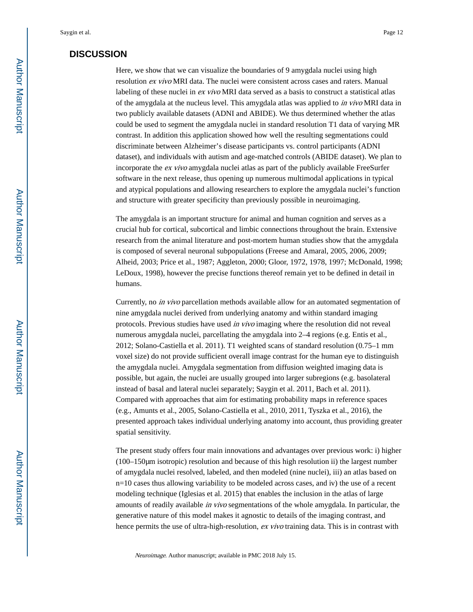# **DISCUSSION**

Here, we show that we can visualize the boundaries of 9 amygdala nuclei using high resolution ex vivo MRI data. The nuclei were consistent across cases and raters. Manual labeling of these nuclei in *ex vivo* MRI data served as a basis to construct a statistical atlas of the amygdala at the nucleus level. This amygdala atlas was applied to in vivo MRI data in two publicly available datasets (ADNI and ABIDE). We thus determined whether the atlas could be used to segment the amygdala nuclei in standard resolution T1 data of varying MR contrast. In addition this application showed how well the resulting segmentations could discriminate between Alzheimer's disease participants vs. control participants (ADNI dataset), and individuals with autism and age-matched controls (ABIDE dataset). We plan to incorporate the ex vivo amygdala nuclei atlas as part of the publicly available FreeSurfer software in the next release, thus opening up numerous multimodal applications in typical and atypical populations and allowing researchers to explore the amygdala nuclei's function and structure with greater specificity than previously possible in neuroimaging.

The amygdala is an important structure for animal and human cognition and serves as a crucial hub for cortical, subcortical and limbic connections throughout the brain. Extensive research from the animal literature and post-mortem human studies show that the amygdala is composed of several neuronal subpopulations (Freese and Amaral, 2005, 2006, 2009; Alheid, 2003; Price et al., 1987; Aggleton, 2000; Gloor, 1972, 1978, 1997; McDonald, 1998; LeDoux, 1998), however the precise functions thereof remain yet to be defined in detail in humans.

Currently, no in vivo parcellation methods available allow for an automated segmentation of nine amygdala nuclei derived from underlying anatomy and within standard imaging protocols. Previous studies have used in vivo imaging where the resolution did not reveal numerous amygdala nuclei, parcellating the amygdala into 2–4 regions (e.g. Entis et al., 2012; Solano-Castiella et al. 2011). T1 weighted scans of standard resolution (0.75–1 mm voxel size) do not provide sufficient overall image contrast for the human eye to distinguish the amygdala nuclei. Amygdala segmentation from diffusion weighted imaging data is possible, but again, the nuclei are usually grouped into larger subregions (e.g. basolateral instead of basal and lateral nuclei separately; Saygin et al. 2011, Bach et al. 2011). Compared with approaches that aim for estimating probability maps in reference spaces (e.g., Amunts et al., 2005, Solano-Castiella et al., 2010, 2011, Tyszka et al., 2016), the presented approach takes individual underlying anatomy into account, thus providing greater spatial sensitivity.

The present study offers four main innovations and advantages over previous work: i) higher (100–150μm isotropic) resolution and because of this high resolution ii) the largest number of amygdala nuclei resolved, labeled, and then modeled (nine nuclei), iii) an atlas based on  $n=10$  cases thus allowing variability to be modeled across cases, and iv) the use of a recent modeling technique (Iglesias et al. 2015) that enables the inclusion in the atlas of large amounts of readily available in vivo segmentations of the whole amygdala. In particular, the generative nature of this model makes it agnostic to details of the imaging contrast, and hence permits the use of ultra-high-resolution, ex vivo training data. This is in contrast with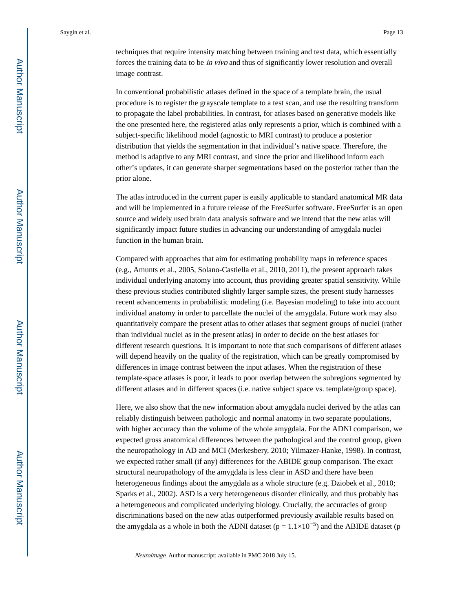techniques that require intensity matching between training and test data, which essentially forces the training data to be in vivo and thus of significantly lower resolution and overall image contrast.

In conventional probabilistic atlases defined in the space of a template brain, the usual procedure is to register the grayscale template to a test scan, and use the resulting transform to propagate the label probabilities. In contrast, for atlases based on generative models like the one presented here, the registered atlas only represents a prior, which is combined with a subject-specific likelihood model (agnostic to MRI contrast) to produce a posterior distribution that yields the segmentation in that individual's native space. Therefore, the method is adaptive to any MRI contrast, and since the prior and likelihood inform each other's updates, it can generate sharper segmentations based on the posterior rather than the prior alone.

The atlas introduced in the current paper is easily applicable to standard anatomical MR data and will be implemented in a future release of the FreeSurfer software. FreeSurfer is an open source and widely used brain data analysis software and we intend that the new atlas will significantly impact future studies in advancing our understanding of amygdala nuclei function in the human brain.

Compared with approaches that aim for estimating probability maps in reference spaces (e.g., Amunts et al., 2005, Solano-Castiella et al., 2010, 2011), the present approach takes individual underlying anatomy into account, thus providing greater spatial sensitivity. While these previous studies contributed slightly larger sample sizes, the present study harnesses recent advancements in probabilistic modeling (i.e. Bayesian modeling) to take into account individual anatomy in order to parcellate the nuclei of the amygdala. Future work may also quantitatively compare the present atlas to other atlases that segment groups of nuclei (rather than individual nuclei as in the present atlas) in order to decide on the best atlases for different research questions. It is important to note that such comparisons of different atlases will depend heavily on the quality of the registration, which can be greatly compromised by differences in image contrast between the input atlases. When the registration of these template-space atlases is poor, it leads to poor overlap between the subregions segmented by different atlases and in different spaces (i.e. native subject space vs. template/group space).

Here, we also show that the new information about amygdala nuclei derived by the atlas can reliably distinguish between pathologic and normal anatomy in two separate populations, with higher accuracy than the volume of the whole amygdala. For the ADNI comparison, we expected gross anatomical differences between the pathological and the control group, given the neuropathology in AD and MCI (Merkesbery, 2010; Yilmazer-Hanke, 1998). In contrast, we expected rather small (if any) differences for the ABIDE group comparison. The exact structural neuropathology of the amygdala is less clear in ASD and there have been heterogeneous findings about the amygdala as a whole structure (e.g. Dziobek et al., 2010; Sparks et al., 2002). ASD is a very heterogeneous disorder clinically, and thus probably has a heterogeneous and complicated underlying biology. Crucially, the accuracies of group discriminations based on the new atlas outperformed previously available results based on the amygdala as a whole in both the ADNI dataset ( $p = 1.1 \times 10^{-5}$ ) and the ABIDE dataset (p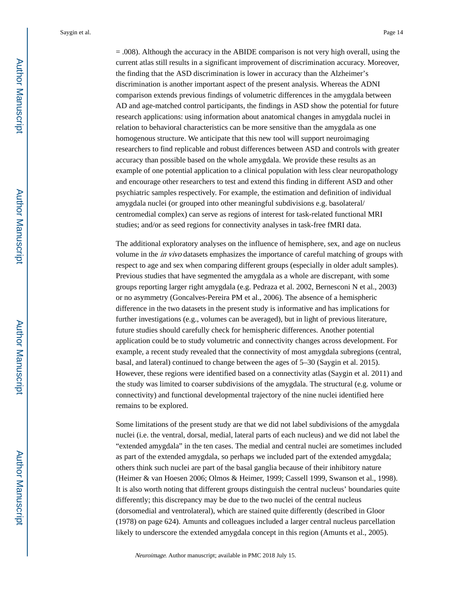= .008). Although the accuracy in the ABIDE comparison is not very high overall, using the current atlas still results in a significant improvement of discrimination accuracy. Moreover, the finding that the ASD discrimination is lower in accuracy than the Alzheimer's discrimination is another important aspect of the present analysis. Whereas the ADNI comparison extends previous findings of volumetric differences in the amygdala between AD and age-matched control participants, the findings in ASD show the potential for future research applications: using information about anatomical changes in amygdala nuclei in relation to behavioral characteristics can be more sensitive than the amygdala as one homogenous structure. We anticipate that this new tool will support neuroimaging researchers to find replicable and robust differences between ASD and controls with greater accuracy than possible based on the whole amygdala. We provide these results as an example of one potential application to a clinical population with less clear neuropathology and encourage other researchers to test and extend this finding in different ASD and other psychiatric samples respectively. For example, the estimation and definition of individual amygdala nuclei (or grouped into other meaningful subdivisions e.g. basolateral/ centromedial complex) can serve as regions of interest for task-related functional MRI studies; and/or as seed regions for connectivity analyses in task-free fMRI data.

The additional exploratory analyses on the influence of hemisphere, sex, and age on nucleus volume in the in vivo datasets emphasizes the importance of careful matching of groups with respect to age and sex when comparing different groups (especially in older adult samples). Previous studies that have segmented the amygdala as a whole are discrepant, with some groups reporting larger right amygdala (e.g. Pedraza et al. 2002, Bernesconi N et al., 2003) or no asymmetry (Goncalves-Pereira PM et al., 2006). The absence of a hemispheric difference in the two datasets in the present study is informative and has implications for further investigations (e.g., volumes can be averaged), but in light of previous literature, future studies should carefully check for hemispheric differences. Another potential application could be to study volumetric and connectivity changes across development. For example, a recent study revealed that the connectivity of most amygdala subregions (central, basal, and lateral) continued to change between the ages of 5–30 (Saygin et al. 2015). However, these regions were identified based on a connectivity atlas (Saygin et al. 2011) and the study was limited to coarser subdivisions of the amygdala. The structural (e.g. volume or connectivity) and functional developmental trajectory of the nine nuclei identified here remains to be explored.

Some limitations of the present study are that we did not label subdivisions of the amygdala nuclei (i.e. the ventral, dorsal, medial, lateral parts of each nucleus) and we did not label the "extended amygdala" in the ten cases. The medial and central nuclei are sometimes included as part of the extended amygdala, so perhaps we included part of the extended amygdala; others think such nuclei are part of the basal ganglia because of their inhibitory nature (Heimer & van Hoesen 2006; Olmos & Heimer, 1999; Cassell 1999, Swanson et al., 1998). It is also worth noting that different groups distinguish the central nucleus' boundaries quite differently; this discrepancy may be due to the two nuclei of the central nucleus (dorsomedial and ventrolateral), which are stained quite differently (described in Gloor (1978) on page 624). Amunts and colleagues included a larger central nucleus parcellation likely to underscore the extended amygdala concept in this region (Amunts et al., 2005).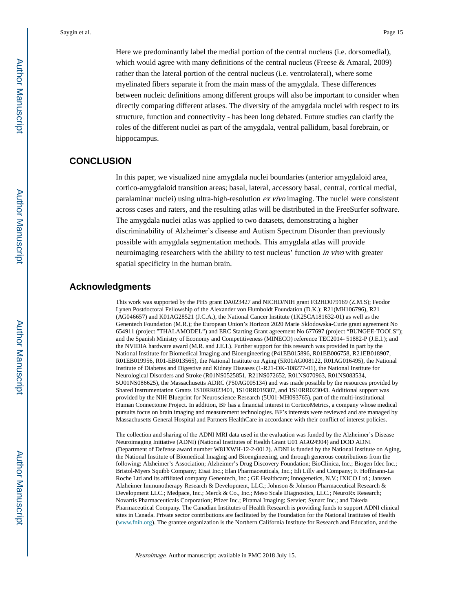Here we predominantly label the medial portion of the central nucleus (i.e. dorsomedial), which would agree with many definitions of the central nucleus (Freese & Amaral, 2009) rather than the lateral portion of the central nucleus (i.e. ventrolateral), where some myelinated fibers separate it from the main mass of the amygdala. These differences between nucleic definitions among different groups will also be important to consider when directly comparing different atlases. The diversity of the amygdala nuclei with respect to its structure, function and connectivity - has been long debated. Future studies can clarify the roles of the different nuclei as part of the amygdala, ventral pallidum, basal forebrain, or hippocampus.

# **CONCLUSION**

In this paper, we visualized nine amygdala nuclei boundaries (anterior amygdaloid area, cortico-amygdaloid transition areas; basal, lateral, accessory basal, central, cortical medial, paralaminar nuclei) using ultra-high-resolution ex vivo imaging. The nuclei were consistent across cases and raters, and the resulting atlas will be distributed in the FreeSurfer software. The amygdala nuclei atlas was applied to two datasets, demonstrating a higher discriminability of Alzheimer's disease and Autism Spectrum Disorder than previously possible with amygdala segmentation methods. This amygdala atlas will provide neuroimaging researchers with the ability to test nucleus' function in vivo with greater spatial specificity in the human brain.

## **Acknowledgments**

This work was supported by the PHS grant DA023427 and NICHD/NIH grant F32HD079169 (Z.M.S); Feodor Lynen Postdoctoral Fellowship of the Alexander von Humboldt Foundation (D.K.); R21(MH106796), R21 (AG046657) and K01AG28521 (J.C.A.), the National Cancer Institute (1K25CA181632-01) as well as the Genentech Foundation (M.R.); the European Union's Horizon 2020 Marie Sklodowska-Curie grant agreement No 654911 (project "THALAMODEL") and ERC Starting Grant agreement No 677697 (project "BUNGEE-TOOLS"); and the Spanish Ministry of Economy and Competitiveness (MINECO) reference TEC2014- 51882-P (J.E.I.); and the NVIDIA hardware award (M.R. and J.E.I.). Further support for this research was provided in part by the National Institute for Biomedical Imaging and Bioengineering (P41EB015896, R01EB006758, R21EB018907, R01EB019956, R01-EB013565), the National Institute on Aging (5R01AG008122, R01AG016495), the National Institute of Diabetes and Digestive and Kidney Diseases (1-R21-DK-108277-01), the National Institute for Neurological Disorders and Stroke (R01NS0525851, R21NS072652, R01NS070963, R01NS083534, 5U01NS086625), the Massachusetts ADRC (P50AG005134) and was made possible by the resources provided by Shared Instrumentation Grants 1S10RR023401, 1S10RR019307, and 1S10RR023043. Additional support was provided by the NIH Blueprint for Neuroscience Research (5U01-MH093765), part of the multi-institutional Human Connectome Project. In addition, BF has a financial interest in CorticoMetrics, a company whose medical pursuits focus on brain imaging and measurement technologies. BF's interests were reviewed and are managed by Massachusetts General Hospital and Partners HealthCare in accordance with their conflict of interest policies.

The collection and sharing of the ADNI MRI data used in the evaluation was funded by the Alzheimer's Disease Neuroimaging Initiative (ADNI) (National Institutes of Health Grant U01 AG024904) and DOD ADNI (Department of Defense award number W81XWH-12-2-0012). ADNI is funded by the National Institute on Aging, the National Institute of Biomedical Imaging and Bioengineering, and through generous contributions from the following: Alzheimer's Association; Alzheimer's Drug Discovery Foundation; BioClinica, Inc.; Biogen Idec Inc.; Bristol-Myers Squibb Company; Eisai Inc.; Elan Pharmaceuticals, Inc.; Eli Lilly and Company; F. Hoffmann-La Roche Ltd and its affiliated company Genentech, Inc.; GE Healthcare; Innogenetics, N.V.; IXICO Ltd.; Janssen Alzheimer Immunotherapy Research & Development, LLC.; Johnson & Johnson Pharmaceutical Research & Development LLC.; Medpace, Inc.; Merck & Co., Inc.; Meso Scale Diagnostics, LLC.; NeuroRx Research; Novartis Pharmaceuticals Corporation; Pfizer Inc.; Piramal Imaging; Servier; Synarc Inc.; and Takeda Pharmaceutical Company. The Canadian Institutes of Health Research is providing funds to support ADNI clinical sites in Canada. Private sector contributions are facilitated by the Foundation for the National Institutes of Health (www.fnih.org). The grantee organization is the Northern California Institute for Research and Education, and the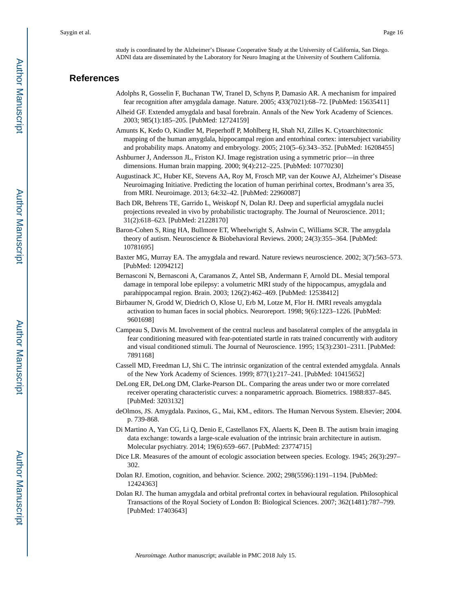study is coordinated by the Alzheimer's Disease Cooperative Study at the University of California, San Diego. ADNI data are disseminated by the Laboratory for Neuro Imaging at the University of Southern California.

# **References**

- Adolphs R, Gosselin F, Buchanan TW, Tranel D, Schyns P, Damasio AR. A mechanism for impaired fear recognition after amygdala damage. Nature. 2005; 433(7021):68–72. [PubMed: 15635411]
- Alheid GF. Extended amygdala and basal forebrain. Annals of the New York Academy of Sciences. 2003; 985(1):185–205. [PubMed: 12724159]
- Amunts K, Kedo O, Kindler M, Pieperhoff P, Mohlberg H, Shah NJ, Zilles K. Cytoarchitectonic mapping of the human amygdala, hippocampal region and entorhinal cortex: intersubject variability and probability maps. Anatomy and embryology. 2005; 210(5–6):343–352. [PubMed: 16208455]
- Ashburner J, Andersson JL, Friston KJ. Image registration using a symmetric prior—in three dimensions. Human brain mapping. 2000; 9(4):212–225. [PubMed: 10770230]
- Augustinack JC, Huber KE, Stevens AA, Roy M, Frosch MP, van der Kouwe AJ, Alzheimer's Disease Neuroimaging Initiative. Predicting the location of human perirhinal cortex, Brodmann's area 35, from MRI. Neuroimage. 2013; 64:32–42. [PubMed: 22960087]
- Bach DR, Behrens TE, Garrido L, Weiskopf N, Dolan RJ. Deep and superficial amygdala nuclei projections revealed in vivo by probabilistic tractography. The Journal of Neuroscience. 2011; 31(2):618–623. [PubMed: 21228170]
- Baron-Cohen S, Ring HA, Bullmore ET, Wheelwright S, Ashwin C, Williams SCR. The amygdala theory of autism. Neuroscience & Biobehavioral Reviews. 2000; 24(3):355–364. [PubMed: 10781695]
- Baxter MG, Murray EA. The amygdala and reward. Nature reviews neuroscience. 2002; 3(7):563–573. [PubMed: 12094212]
- Bernasconi N, Bernasconi A, Caramanos Z, Antel SB, Andermann F, Arnold DL. Mesial temporal damage in temporal lobe epilepsy: a volumetric MRI study of the hippocampus, amygdala and parahippocampal region. Brain. 2003; 126(2):462–469. [PubMed: 12538412]
- Birbaumer N, Grodd W, Diedrich O, Klose U, Erb M, Lotze M, Flor H. fMRI reveals amygdala activation to human faces in social phobics. Neuroreport. 1998; 9(6):1223–1226. [PubMed: 9601698]
- Campeau S, Davis M. Involvement of the central nucleus and basolateral complex of the amygdala in fear conditioning measured with fear-potentiated startle in rats trained concurrently with auditory and visual conditioned stimuli. The Journal of Neuroscience. 1995; 15(3):2301–2311. [PubMed: 7891168]
- Cassell MD, Freedman LJ, Shi C. The intrinsic organization of the central extended amygdala. Annals of the New York Academy of Sciences. 1999; 877(1):217–241. [PubMed: 10415652]
- DeLong ER, DeLong DM, Clarke-Pearson DL. Comparing the areas under two or more correlated receiver operating characteristic curves: a nonparametric approach. Biometrics. 1988:837–845. [PubMed: 3203132]
- deOlmos, JS. Amygdala. Paxinos, G., Mai, KM., editors. The Human Nervous System. Elsevier; 2004. p. 739-868.
- Di Martino A, Yan CG, Li Q, Denio E, Castellanos FX, Alaerts K, Deen B. The autism brain imaging data exchange: towards a large-scale evaluation of the intrinsic brain architecture in autism. Molecular psychiatry. 2014; 19(6):659–667. [PubMed: 23774715]
- Dice LR. Measures of the amount of ecologic association between species. Ecology. 1945; 26(3):297– 302.
- Dolan RJ. Emotion, cognition, and behavior. Science. 2002; 298(5596):1191–1194. [PubMed: 12424363]
- Dolan RJ. The human amygdala and orbital prefrontal cortex in behavioural regulation. Philosophical Transactions of the Royal Society of London B: Biological Sciences. 2007; 362(1481):787–799. [PubMed: 17403643]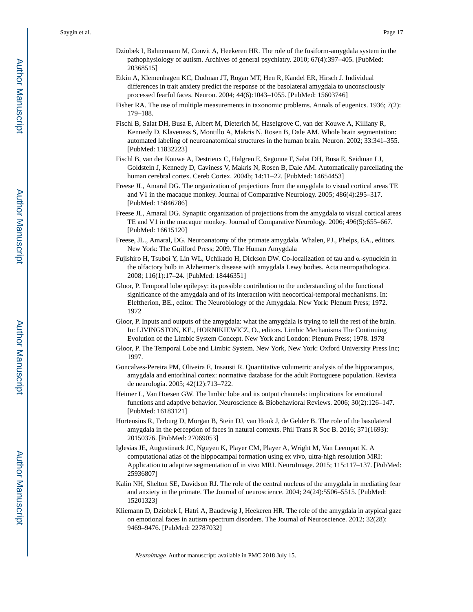- Dziobek I, Bahnemann M, Convit A, Heekeren HR. The role of the fusiform-amygdala system in the pathophysiology of autism. Archives of general psychiatry. 2010; 67(4):397–405. [PubMed: 20368515]
- Etkin A, Klemenhagen KC, Dudman JT, Rogan MT, Hen R, Kandel ER, Hirsch J. Individual differences in trait anxiety predict the response of the basolateral amygdala to unconsciously processed fearful faces. Neuron. 2004; 44(6):1043–1055. [PubMed: 15603746]
- Fisher RA. The use of multiple measurements in taxonomic problems. Annals of eugenics. 1936; 7(2): 179–188.
- Fischl B, Salat DH, Busa E, Albert M, Dieterich M, Haselgrove C, van der Kouwe A, Killiany R, Kennedy D, Klaveness S, Montillo A, Makris N, Rosen B, Dale AM. Whole brain segmentation: automated labeling of neuroanatomical structures in the human brain. Neuron. 2002; 33:341–355. [PubMed: 11832223]
- Fischl B, van der Kouwe A, Destrieux C, Halgren E, Segonne F, Salat DH, Busa E, Seidman LJ, Goldstein J, Kennedy D, Caviness V, Makris N, Rosen B, Dale AM. Automatically parcellating the human cerebral cortex. Cereb Cortex. 2004b; 14:11–22. [PubMed: 14654453]
- Freese JL, Amaral DG. The organization of projections from the amygdala to visual cortical areas TE and V1 in the macaque monkey. Journal of Comparative Neurology. 2005; 486(4):295–317. [PubMed: 15846786]
- Freese JL, Amaral DG. Synaptic organization of projections from the amygdala to visual cortical areas TE and V1 in the macaque monkey. Journal of Comparative Neurology. 2006; 496(5):655–667. [PubMed: 16615120]
- Freese, JL., Amaral, DG. Neuroanatomy of the primate amygdala. Whalen, PJ., Phelps, EA., editors. New York: The Guilford Press; 2009. The Human Amygdala
- Fujishiro H, Tsuboi Y, Lin WL, Uchikado H, Dickson DW. Co-localization of tau and α-synuclein in the olfactory bulb in Alzheimer's disease with amygdala Lewy bodies. Acta neuropathologica. 2008; 116(1):17–24. [PubMed: 18446351]
- Gloor, P. Temporal lobe epilepsy: its possible contribution to the understanding of the functional significance of the amygdala and of its interaction with neocortical-temporal mechanisms. In: Eleftherion, BE., editor. The Neurobiology of the Amygdala. New York: Plenum Press; 1972. 1972
- Gloor, P. Inputs and outputs of the amygdala: what the amygdala is trying to tell the rest of the brain. In: LIVINGSTON, KE., HORNIKIEWICZ, O., editors. Limbic Mechanisms The Continuing Evolution of the Limbic System Concept. New York and London: Plenum Press; 1978. 1978
- Gloor, P. The Temporal Lobe and Limbic System. New York, New York: Oxford University Press Inc; 1997.
- Goncalves-Pereira PM, Oliveira E, Insausti R. Quantitative volumetric analysis of the hippocampus, amygdala and entorhinal cortex: normative database for the adult Portuguese population. Revista de neurologia. 2005; 42(12):713–722.
- Heimer L, Van Hoesen GW. The limbic lobe and its output channels: implications for emotional functions and adaptive behavior. Neuroscience & Biobehavioral Reviews. 2006; 30(2):126–147. [PubMed: 16183121]
- Hortensius R, Terburg D, Morgan B, Stein DJ, van Honk J, de Gelder B. The role of the basolateral amygdala in the perception of faces in natural contexts. Phil Trans R Soc B. 2016; 371(1693): 20150376. [PubMed: 27069053]
- Iglesias JE, Augustinack JC, Nguyen K, Player CM, Player A, Wright M, Van Leemput K. A computational atlas of the hippocampal formation using ex vivo, ultra-high resolution MRI: Application to adaptive segmentation of in vivo MRI. NeuroImage. 2015; 115:117–137. [PubMed: 25936807]
- Kalin NH, Shelton SE, Davidson RJ. The role of the central nucleus of the amygdala in mediating fear and anxiety in the primate. The Journal of neuroscience. 2004; 24(24):5506–5515. [PubMed: 15201323]
- Kliemann D, Dziobek I, Hatri A, Baudewig J, Heekeren HR. The role of the amygdala in atypical gaze on emotional faces in autism spectrum disorders. The Journal of Neuroscience. 2012; 32(28): 9469–9476. [PubMed: 22787032]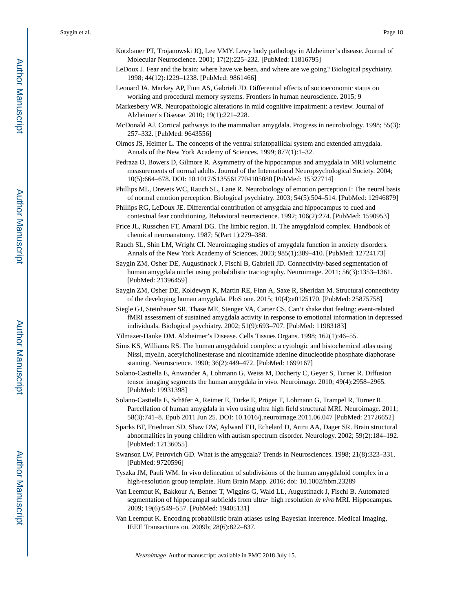- Kotzbauer PT, Trojanowski JQ, Lee VMY. Lewy body pathology in Alzheimer's disease. Journal of Molecular Neuroscience. 2001; 17(2):225–232. [PubMed: 11816795]
- LeDoux J. Fear and the brain: where have we been, and where are we going? Biological psychiatry. 1998; 44(12):1229–1238. [PubMed: 9861466]
- Leonard JA, Mackey AP, Finn AS, Gabrieli JD. Differential effects of socioeconomic status on working and procedural memory systems. Frontiers in human neuroscience. 2015; 9
- Markesbery WR. Neuropathologic alterations in mild cognitive impairment: a review. Journal of Alzheimer's Disease. 2010; 19(1):221–228.
- McDonald AJ. Cortical pathways to the mammalian amygdala. Progress in neurobiology. 1998; 55(3): 257–332. [PubMed: 9643556]
- Olmos JS, Heimer L. The concepts of the ventral striatopallidal system and extended amygdala. Annals of the New York Academy of Sciences. 1999; 877(1):1–32.
- Pedraza O, Bowers D, Gilmore R. Asymmetry of the hippocampus and amygdala in MRI volumetric measurements of normal adults. Journal of the International Neuropsychological Society. 2004; 10(5):664–678. DOI: 10.1017/S1355617704105080 [PubMed: 15327714]
- Phillips ML, Drevets WC, Rauch SL, Lane R. Neurobiology of emotion perception I: The neural basis of normal emotion perception. Biological psychiatry. 2003; 54(5):504–514. [PubMed: 12946879]
- Phillips RG, LeDoux JE. Differential contribution of amygdala and hippocampus to cued and contextual fear conditioning. Behavioral neuroscience. 1992; 106(2):274. [PubMed: 1590953]
- Price JL, Russchen FT, Amaral DG. The limbic region. II. The amygdaloid complex. Handbook of chemical neuroanatomy. 1987; 5(Part 1):279–388.
- Rauch SL, Shin LM, Wright CI. Neuroimaging studies of amygdala function in anxiety disorders. Annals of the New York Academy of Sciences. 2003; 985(1):389–410. [PubMed: 12724173]
- Saygin ZM, Osher DE, Augustinack J, Fischl B, Gabrieli JD. Connectivity-based segmentation of human amygdala nuclei using probabilistic tractography. Neuroimage. 2011; 56(3):1353–1361. [PubMed: 21396459]
- Saygin ZM, Osher DE, Koldewyn K, Martin RE, Finn A, Saxe R, Sheridan M. Structural connectivity of the developing human amygdala. PloS one. 2015; 10(4):e0125170. [PubMed: 25875758]
- Siegle GJ, Steinhauer SR, Thase ME, Stenger VA, Carter CS. Can't shake that feeling: event-related fMRI assessment of sustained amygdala activity in response to emotional information in depressed individuals. Biological psychiatry. 2002; 51(9):693–707. [PubMed: 11983183]
- Yilmazer-Hanke DM. Alzheimer's Disease. Cells Tissues Organs. 1998; 162(1):46–55.
- Sims KS, Williams RS. The human amygdaloid complex: a cytologic and histochemical atlas using Nissl, myelin, acetylcholinesterase and nicotinamide adenine dinucleotide phosphate diaphorase staining. Neuroscience. 1990; 36(2):449–472. [PubMed: 1699167]
- Solano-Castiella E, Anwander A, Lohmann G, Weiss M, Docherty C, Geyer S, Turner R. Diffusion tensor imaging segments the human amygdala in vivo. Neuroimage. 2010; 49(4):2958–2965. [PubMed: 19931398]
- Solano-Castiella E, Schäfer A, Reimer E, Türke E, Pröger T, Lohmann G, Trampel R, Turner R. Parcellation of human amygdala in vivo using ultra high field structural MRI. Neuroimage. 2011; 58(3):741–8. Epub 2011 Jun 25. DOI: 10.1016/j.neuroimage.2011.06.047 [PubMed: 21726652]
- Sparks BF, Friedman SD, Shaw DW, Aylward EH, Echelard D, Artru AA, Dager SR. Brain structural abnormalities in young children with autism spectrum disorder. Neurology. 2002; 59(2):184–192. [PubMed: 12136055]
- Swanson LW, Petrovich GD. What is the amygdala? Trends in Neurosciences. 1998; 21(8):323–331. [PubMed: 9720596]
- Tyszka JM, Pauli WM. In vivo delineation of subdivisions of the human amygdaloid complex in a high-resolution group template. Hum Brain Mapp. 2016; doi: 10.1002/hbm.23289
- Van Leemput K, Bakkour A, Benner T, Wiggins G, Wald LL, Augustinack J, Fischl B. Automated segmentation of hippocampal subfields from ultra- high resolution in vivo MRI. Hippocampus. 2009; 19(6):549–557. [PubMed: 19405131]
- Van Leemput K. Encoding probabilistic brain atlases using Bayesian inference. Medical Imaging, IEEE Transactions on. 2009b; 28(6):822–837.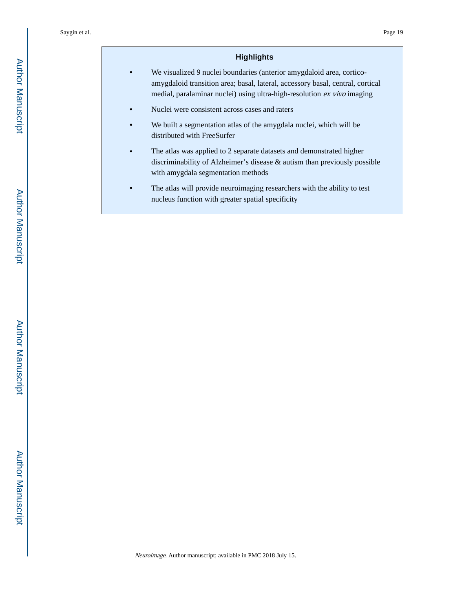# **Highlights**

- **•** We visualized 9 nuclei boundaries (anterior amygdaloid area, corticoamygdaloid transition area; basal, lateral, accessory basal, central, cortical medial, paralaminar nuclei) using ultra-high-resolution ex vivo imaging
- **•** Nuclei were consistent across cases and raters
- **•** We built a segmentation atlas of the amygdala nuclei, which will be distributed with FreeSurfer
- **•** The atlas was applied to 2 separate datasets and demonstrated higher discriminability of Alzheimer's disease & autism than previously possible with amygdala segmentation methods
- **•** The atlas will provide neuroimaging researchers with the ability to test nucleus function with greater spatial specificity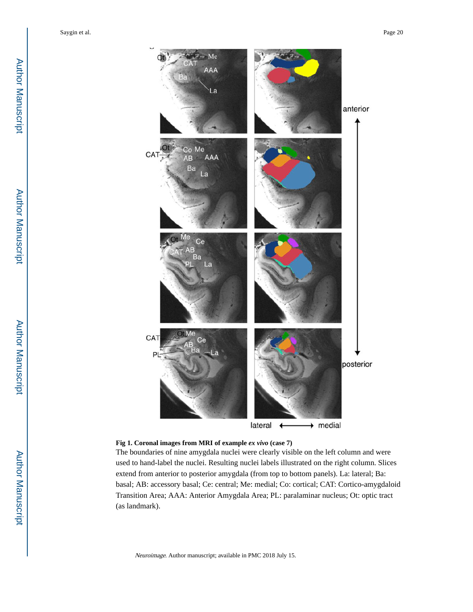

### **Fig 1. Coronal images from MRI of example** *ex vivo* **(case 7)**

The boundaries of nine amygdala nuclei were clearly visible on the left column and were used to hand-label the nuclei. Resulting nuclei labels illustrated on the right column. Slices extend from anterior to posterior amygdala (from top to bottom panels). La: lateral; Ba: basal; AB: accessory basal; Ce: central; Me: medial; Co: cortical; CAT: Cortico-amygdaloid Transition Area; AAA: Anterior Amygdala Area; PL: paralaminar nucleus; Ot: optic tract (as landmark).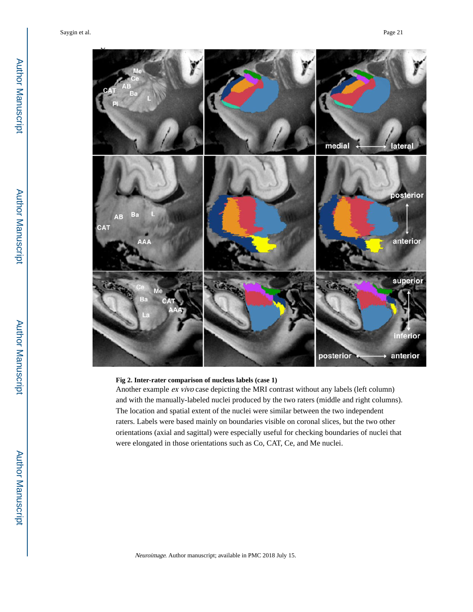

#### **Fig 2. Inter-rater comparison of nucleus labels (case 1)**

Another example ex vivo case depicting the MRI contrast without any labels (left column) and with the manually-labeled nuclei produced by the two raters (middle and right columns). The location and spatial extent of the nuclei were similar between the two independent raters. Labels were based mainly on boundaries visible on coronal slices, but the two other orientations (axial and sagittal) were especially useful for checking boundaries of nuclei that were elongated in those orientations such as Co, CAT, Ce, and Me nuclei.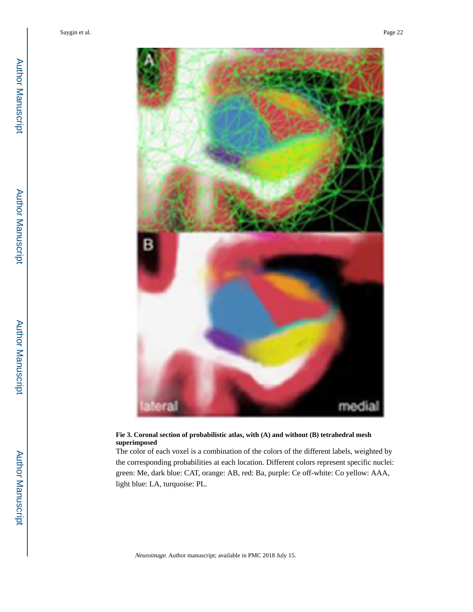

#### **Fie 3. Coronal section of probabilistic atlas, with (A) and without (B) tetrahedral mesh superimposed**

The color of each voxel is a combination of the colors of the different labels, weighted by the corresponding probabilities at each location. Different colors represent specific nuclei: green: Me, dark blue: CAT, orange: AB, red: Ba, purple: Ce off-white: Co yellow: AAA, light blue: LA, turquoise: PL.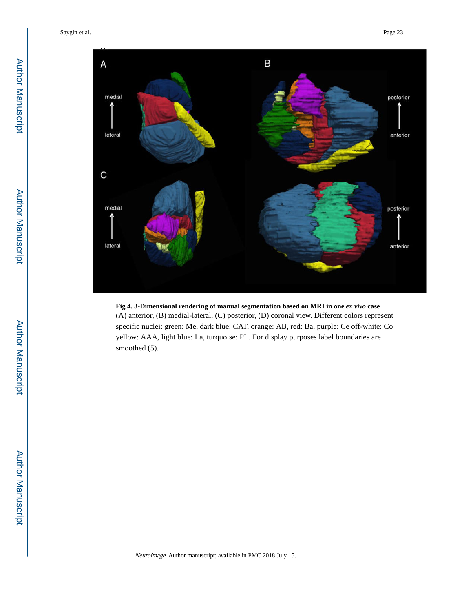

**Fig 4. 3-Dimensional rendering of manual segmentation based on MRI in one** *ex vivo* **case** (A) anterior, (B) medial-lateral, (C) posterior, (D) coronal view. Different colors represent specific nuclei: green: Me, dark blue: CAT, orange: AB, red: Ba, purple: Ce off-white: Co yellow: AAA, light blue: La, turquoise: PL. For display purposes label boundaries are smoothed  $(5)$ .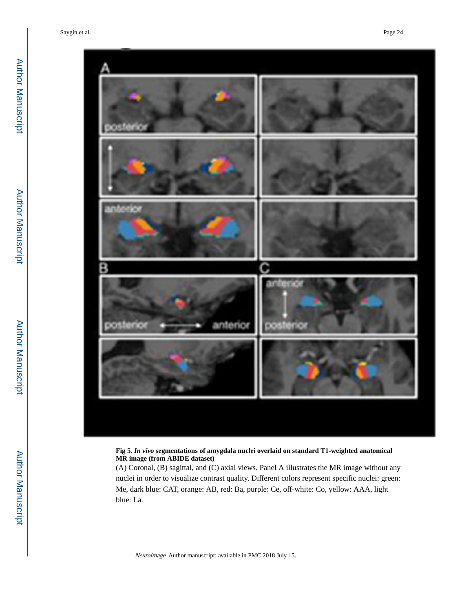Saygin et al. Page 24



#### **Fig 5.** *In vivo* **segmentations of amygdala nuclei overlaid on standard T1-weighted anatomical MR image (from ABIDE dataset)**

(A) Coronal, (B) sagittal, and (C) axial views. Panel A illustrates the MR image without any nuclei in order to visualize contrast quality. Different colors represent specific nuclei: green: Me, dark blue: CAT, orange: AB, red: Ba, purple: Ce, off-white: Co, yellow: AAA, light blue: La.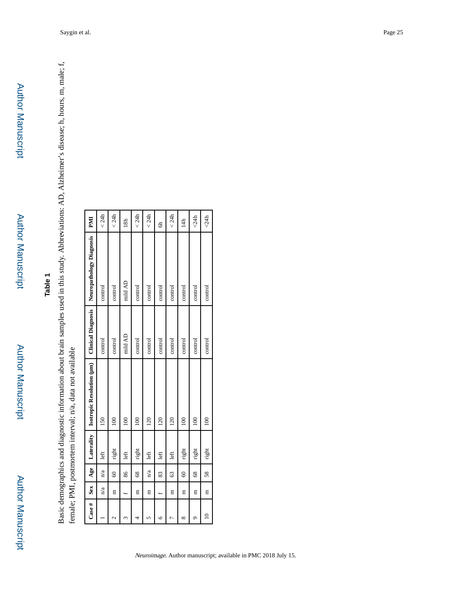# **Table 1**

Basic demographics and diagnostic information about brain samples used in this study. Abbreviations: AD, Alzheimer's disease; h, hours, m, male; f, Basic demographics and diagnostic information about brain samples used in this study. Abbreviations: AD, Alzheimer's disease; h, hours, m, male; f, female; PMI, postmortem interval; n/a, data not available female; PMI, postmortem interval; n/a, data not available

| $Case \#$          | Sex | $\mathbf{A}\mathbf{ge}$ | Laterality | <b>Isotropic Resolution (µm)</b> | <b>Clinical Diagnosis</b> | Neuropathology Diagnosis | PMI           |
|--------------------|-----|-------------------------|------------|----------------------------------|---------------------------|--------------------------|---------------|
|                    | n/a | n/a                     | left       | 150                              | control                   | control                  | $< 24h$       |
| $\mathbf{\hat{c}}$ | Ξ   | 8                       | right      | 100                              | control                   | control                  | < 24h         |
| ξ                  |     | 86                      | left       | $\overline{0}$                   | mild AD                   | mild AD                  | $\frac{8}{2}$ |
| 4                  | Ξ   | 68                      | right      | 100                              | control                   | control                  | $< 24h$       |
| n                  | Ξ   | n/a                     | left       | 120                              | control                   | control                  | < 24h         |
| ٩                  |     | 83                      | left       | 120                              | control                   | control                  | ති            |
| ŗ                  | Ξ   | 63                      | Left       | 120                              | control                   | control                  | < 24h         |
| $\infty$           | Ξ   | $\degree$               | right      | 100                              | control                   | control                  | $\frac{4}{h}$ |
| σ                  | Ξ   | 68                      | right      | $\approx$                        | control                   | control                  | 24h           |
| $\approx$          | Ε   | 58                      | right      | $\overline{100}$                 | control                   | control                  | 24h           |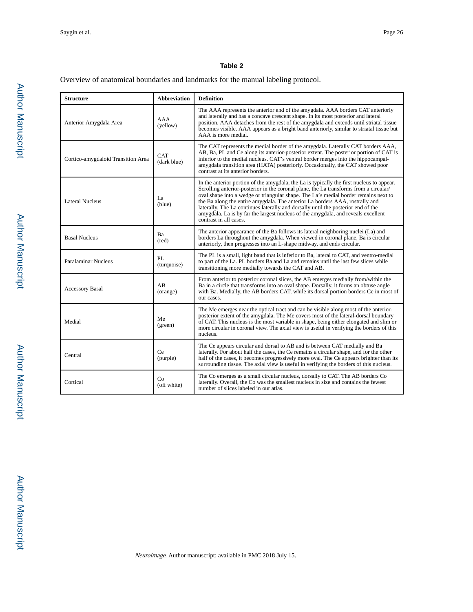# **Table 2**

Overview of anatomical boundaries and landmarks for the manual labeling protocol.

| <b>Structure</b>                   | <b>Abbreviation</b>       | <b>Definition</b>                                                                                                                                                                                                                                                                                                                                                                                                                                                                                                                                            |
|------------------------------------|---------------------------|--------------------------------------------------------------------------------------------------------------------------------------------------------------------------------------------------------------------------------------------------------------------------------------------------------------------------------------------------------------------------------------------------------------------------------------------------------------------------------------------------------------------------------------------------------------|
| Anterior Amygdala Area             | AAA<br>(yellow)           | The AAA represents the anterior end of the amygdala. AAA borders CAT anteriorly<br>and laterally and has a concave crescent shape. In its most posterior and lateral<br>position, AAA detaches from the rest of the amygdala and extends until striatal tissue<br>becomes visible. AAA appears as a bright band anteriorly, similar to striatal tissue but<br>AAA is more medial.                                                                                                                                                                            |
| Cortico-amygdaloid Transition Area | <b>CAT</b><br>(dark blue) | The CAT represents the medial border of the amygdala. Laterally CAT borders AAA,<br>AB, Ba, PL and Ce along its anterior-posterior extent. The posterior portion of CAT is<br>inferior to the medial nucleus. CAT's ventral border merges into the hippocampal-<br>amygdala transition area (HATA) posteriorly. Occasionally, the CAT showed poor<br>contrast at its anterior borders.                                                                                                                                                                       |
| <b>Lateral Nucleus</b>             | La<br>(blue)              | In the anterior portion of the amygdala, the La is typically the first nucleus to appear.<br>Scrolling anterior-posterior in the coronal plane, the La transforms from a circular<br>oval shape into a wedge or triangular shape. The La's medial border remains next to<br>the Ba along the entire amygdala. The anterior La borders AAA, rostrally and<br>laterally. The La continues laterally and dorsally until the posterior end of the<br>amygdala. La is by far the largest nucleus of the amygdala, and reveals excellent<br>contrast in all cases. |
| <b>Basal Nucleus</b>               | Ba<br>(red)               | The anterior appearance of the Ba follows its lateral neighboring nuclei (La) and<br>borders La throughout the amygdala. When viewed in coronal plane, Ba is circular<br>anteriorly, then progresses into an L-shape midway, and ends circular.                                                                                                                                                                                                                                                                                                              |
| Paralaminar Nucleus                | PL<br>(turquoise)         | The PL is a small, light band that is inferior to Ba, lateral to CAT, and ventro-medial<br>to part of the La. PL borders Ba and La and remains until the last few slices while<br>transitioning more medially towards the CAT and AB.                                                                                                                                                                                                                                                                                                                        |
| <b>Accessory Basal</b>             | AB<br>(orange)            | From anterior to posterior coronal slices, the AB emerges medially from/within the<br>Ba in a circle that transforms into an oval shape. Dorsally, it forms an obtuse angle<br>with Ba. Medially, the AB borders CAT, while its dorsal portion borders Ce in most of<br>our cases.                                                                                                                                                                                                                                                                           |
| Medial                             | Me<br>(green)             | The Me emerges near the optical tract and can be visible along most of the anterior-<br>posterior extent of the amygdala. The Me covers most of the lateral-dorsal boundary<br>of CAT. This nucleus is the most variable in shape, being either elongated and slim or<br>more circular in coronal view. The axial view is useful in verifying the borders of this<br>nucleus.                                                                                                                                                                                |
| Central                            | Ce<br>(purple)            | The Ce appears circular and dorsal to AB and is between CAT medially and Ba<br>laterally. For about half the cases, the Ce remains a circular shape, and for the other<br>half of the cases, it becomes progressively more oval. The Ce appears brighter than its<br>surrounding tissue. The axial view is useful in verifying the borders of this nucleus.                                                                                                                                                                                                  |
| Cortical                           | Co<br>(off white)         | The Co emerges as a small circular nucleus, dorsally to CAT. The AB borders Co<br>laterally. Overall, the Co was the smallest nucleus in size and contains the fewest<br>number of slices labeled in our atlas.                                                                                                                                                                                                                                                                                                                                              |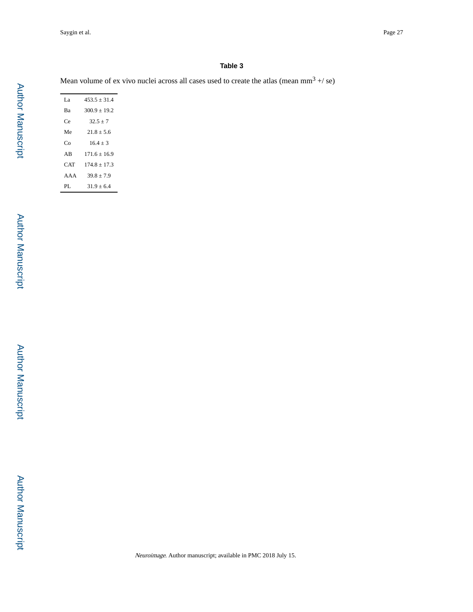L

# **Table 3**

Mean volume of ex vivo nuclei across all cases used to create the atlas (mean  $mm^3 + /$  se)

| $453.5 + 31.4$ |
|----------------|
| $300.9 + 19.2$ |
| $32.5 \pm 7$   |
| $21.8 + 5.6$   |
| $164 + 3$      |
| $171.6 + 16.9$ |
| $1748 + 173$   |
| $39.8 + 7.9$   |
| $31.9 + 6.4$   |
|                |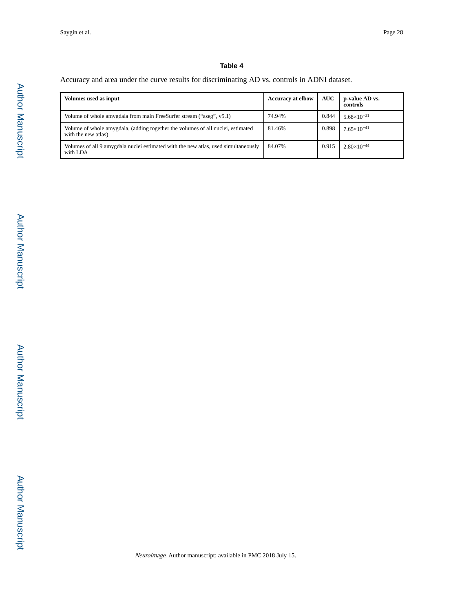## **Table 4**

Accuracy and area under the curve results for discriminating AD vs. controls in ADNI dataset.

| Volumes used as input                                                                                  | <b>Accuracy at elbow</b> | <b>AUC</b> | p-value AD vs.<br>controls |
|--------------------------------------------------------------------------------------------------------|--------------------------|------------|----------------------------|
| Volume of whole amygdala from main FreeSurfer stream ("aseg", v5.1)                                    | 74.94%                   | 0.844      | $5.68\times10^{-31}$       |
| Volume of whole amygdala, (adding together the volumes of all nuclei, estimated<br>with the new atlas) | 81.46%                   | 0.898      | $7.65\times10^{-41}$       |
| Volumes of all 9 amygdala nuclei estimated with the new atlas, used simultaneously<br>with LDA         | 84.07%                   | 0.915      | $2.80\times10^{-44}$       |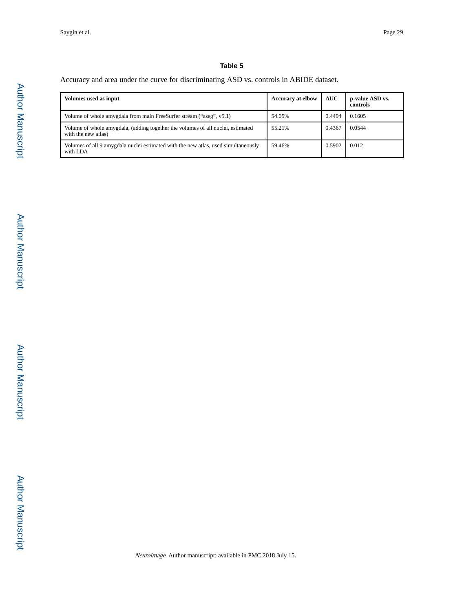# **Table 5**

Accuracy and area under the curve for discriminating ASD vs. controls in ABIDE dataset.

| Volumes used as input                                                                                  | <b>Accuracy at elbow</b> | <b>AUC</b> | p-value ASD vs.<br>controls |
|--------------------------------------------------------------------------------------------------------|--------------------------|------------|-----------------------------|
| Volume of whole amygdala from main FreeSurfer stream ("aseg", v5.1)                                    | 54.05%                   | 0.4494     | 0.1605                      |
| Volume of whole amygdala, (adding together the volumes of all nuclei, estimated<br>with the new atlas) | 55.21%                   | 0.4367     | 0.0544                      |
| Volumes of all 9 amygdala nuclei estimated with the new atlas, used simultaneously<br>with LDA         | 59.46%                   | 0.5902     | 0.012                       |